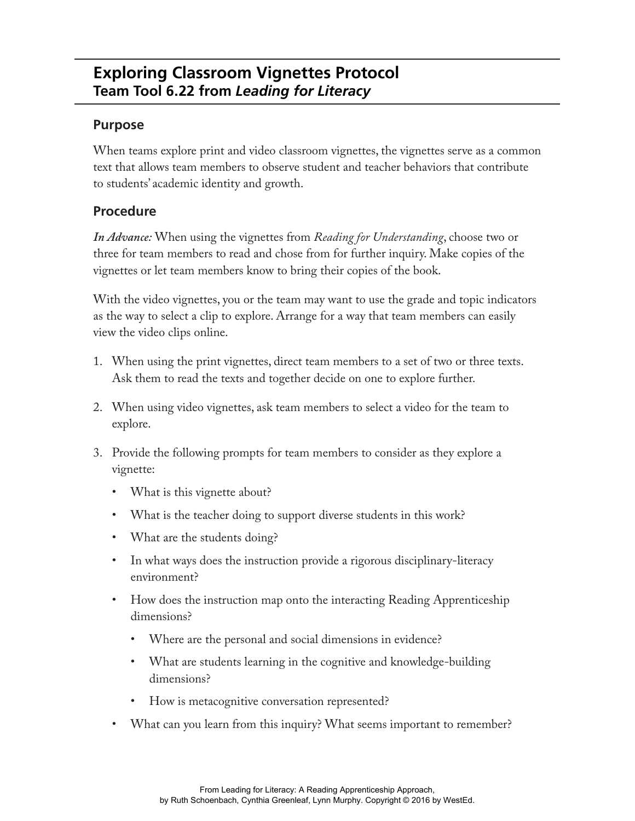## **Exploring Classroom Vignettes Protocol Team Tool 6.22 from** *Leading for Literacy*

## **Purpose**

When teams explore print and video classroom vignettes, the vignettes serve as a common text that allows team members to observe student and teacher behaviors that contribute to students' academic identity and growth.

## **Procedure**

*In Advance:* When using the vignettes from *Reading for Understanding*, choose two or three for team members to read and chose from for further inquiry. Make copies of the vignettes or let team members know to bring their copies of the book.

With the video vignettes, you or the team may want to use the grade and topic indicators as the way to select a clip to explore. Arrange for a way that team members can easily view the video clips online.

- 1. When using the print vignettes, direct team members to a set of two or three texts. Ask them to read the texts and together decide on one to explore further.
- 2. When using video vignettes, ask team members to select a video for the team to explore.
- 3. Provide the following prompts for team members to consider as they explore a vignette:
	- What is this vignette about?
	- What is the teacher doing to support diverse students in this work?
	- What are the students doing?
	- In what ways does the instruction provide a rigorous disciplinary-literacy environment?
	- How does the instruction map onto the interacting Reading Apprenticeship dimensions?
		- Where are the personal and social dimensions in evidence?
		- What are students learning in the cognitive and knowledge-building dimensions?
		- How is metacognitive conversation represented?
	- What can you learn from this inquiry? What seems important to remember?